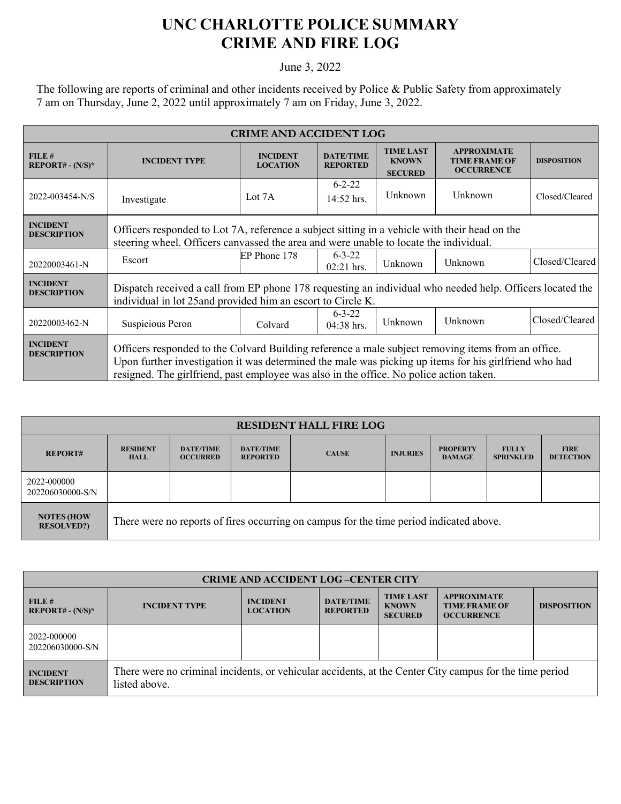## **UNC CHARLOTTE POLICE SUMMARY CRIME AND FIRE LOG**

June 3, 2022

The following are reports of criminal and other incidents received by Police & Public Safety from approximately 7 am on Thursday, June 2, 2022 until approximately 7 am on Friday, June 3, 2022.

| <b>CRIME AND ACCIDENT LOG</b>         |                                                                                                                                                                                                                                                                                                        |                                    |                                     |                                                    |                                                                 |                    |  |
|---------------------------------------|--------------------------------------------------------------------------------------------------------------------------------------------------------------------------------------------------------------------------------------------------------------------------------------------------------|------------------------------------|-------------------------------------|----------------------------------------------------|-----------------------------------------------------------------|--------------------|--|
| FILE#<br>$REPORT# - (N/S)*$           | <b>INCIDENT TYPE</b>                                                                                                                                                                                                                                                                                   | <b>INCIDENT</b><br><b>LOCATION</b> | <b>DATE/TIME</b><br><b>REPORTED</b> | <b>TIME LAST</b><br><b>KNOWN</b><br><b>SECURED</b> | <b>APPROXIMATE</b><br><b>TIME FRAME OF</b><br><b>OCCURRENCE</b> | <b>DISPOSITION</b> |  |
| 2022-003454-N/S                       | Investigate                                                                                                                                                                                                                                                                                            | Lot $7A$                           | $6 - 2 - 22$<br>14:52 hrs.          | Unknown                                            | Unknown                                                         | Closed/Cleared     |  |
| <b>INCIDENT</b><br><b>DESCRIPTION</b> | Officers responded to Lot 7A, reference a subject sitting in a vehicle with their head on the<br>steering wheel. Officers canvassed the area and were unable to locate the individual.                                                                                                                 |                                    |                                     |                                                    |                                                                 |                    |  |
| 20220003461-N                         | Escort                                                                                                                                                                                                                                                                                                 | EP Phone 178                       | $6 - 3 - 22$<br>02:21 hrs.          | Unknown                                            | Unknown                                                         | Closed/Cleared     |  |
| <b>INCIDENT</b><br><b>DESCRIPTION</b> | Dispatch received a call from EP phone 178 requesting an individual who needed help. Officers located the<br>individual in lot 25 and provided him an escort to Circle K.                                                                                                                              |                                    |                                     |                                                    |                                                                 |                    |  |
| 20220003462-N                         | Suspicious Peron                                                                                                                                                                                                                                                                                       | Colvard                            | $6 - 3 - 22$<br>$04:38$ hrs.        | Unknown                                            | Unknown                                                         | Closed/Cleared     |  |
| <b>INCIDENT</b><br><b>DESCRIPTION</b> | Officers responded to the Colvard Building reference a male subject removing items from an office.<br>Upon further investigation it was determined the male was picking up items for his girlfriend who had<br>resigned. The girlfriend, past employee was also in the office. No police action taken. |                                    |                                     |                                                    |                                                                 |                    |  |

| <b>RESIDENT HALL FIRE LOG</b>          |                                                                                         |                                     |                                     |              |                 |                                  |                                  |                                 |
|----------------------------------------|-----------------------------------------------------------------------------------------|-------------------------------------|-------------------------------------|--------------|-----------------|----------------------------------|----------------------------------|---------------------------------|
| <b>REPORT#</b>                         | <b>RESIDENT</b><br><b>HALL</b>                                                          | <b>DATE/TIME</b><br><b>OCCURRED</b> | <b>DATE/TIME</b><br><b>REPORTED</b> | <b>CAUSE</b> | <b>INJURIES</b> | <b>PROPERTY</b><br><b>DAMAGE</b> | <b>FULLY</b><br><b>SPRINKLED</b> | <b>FIRE</b><br><b>DETECTION</b> |
| 2022-000000<br>202206030000-S/N        |                                                                                         |                                     |                                     |              |                 |                                  |                                  |                                 |
| <b>NOTES (HOW</b><br><b>RESOLVED?)</b> | There were no reports of fires occurring on campus for the time period indicated above. |                                     |                                     |              |                 |                                  |                                  |                                 |

| <b>CRIME AND ACCIDENT LOG-CENTER CITY</b> |                                                                                                                          |                                    |                                     |                                                    |                                                                 |                    |  |
|-------------------------------------------|--------------------------------------------------------------------------------------------------------------------------|------------------------------------|-------------------------------------|----------------------------------------------------|-----------------------------------------------------------------|--------------------|--|
| FILE#<br>$REPORT# - (N/S)*$               | <b>INCIDENT TYPE</b>                                                                                                     | <b>INCIDENT</b><br><b>LOCATION</b> | <b>DATE/TIME</b><br><b>REPORTED</b> | <b>TIME LAST</b><br><b>KNOWN</b><br><b>SECURED</b> | <b>APPROXIMATE</b><br><b>TIME FRAME OF</b><br><b>OCCURRENCE</b> | <b>DISPOSITION</b> |  |
| 2022-000000<br>202206030000-S/N           |                                                                                                                          |                                    |                                     |                                                    |                                                                 |                    |  |
| <b>INCIDENT</b><br><b>DESCRIPTION</b>     | There were no criminal incidents, or vehicular accidents, at the Center City campus for the time period<br>listed above. |                                    |                                     |                                                    |                                                                 |                    |  |